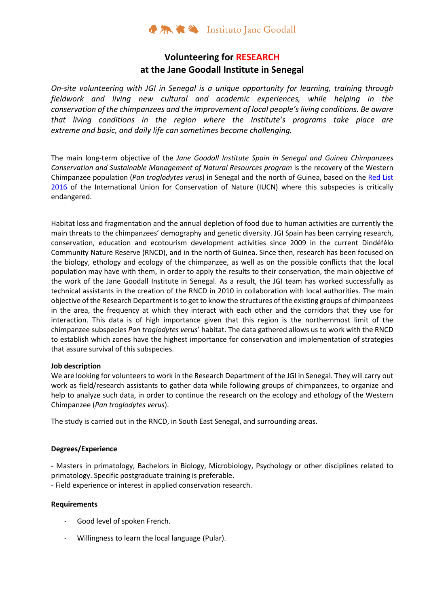## **Volunteering for RESEARCH at the Jane Goodall Institute in Senegal**

*On-site volunteering with JGI in Senegal is a unique opportunity for learning, training through fieldwork and living new cultural and academic experiences, while helping in the conservation of the chimpanzees and the improvement of local people'sliving conditions. Be aware that living conditions in the region where the Institute's programs take place are extreme and basic, and daily life can sometimes become challenging.*

The main long-term objective of the *Jane Goodall Institute Spain in Senegal and Guinea Chimpanzees Conservation and Sustainable Management of Natural Resources program* is the recovery of the Western Chimpanzee population (*Pan troglodytes verus*) in Senegal and the north of Guinea, based on the Red List 2016 of the International Union for Conservation of Nature (IUCN) where this subspecies is critically endangered.

Habitat loss and fragmentation and the annual depletion of food due to human activities are currently the main threats to the chimpanzees' demography and genetic diversity. JGI Spain has been carrying research, conservation, education and ecotourism development activities since 2009 in the current Dindéfélo Community Nature Reserve (RNCD), and in the north of Guinea. Since then, research has been focused on the biology, ethology and ecology of the chimpanzee, as well as on the possible conflicts that the local population may have with them, in order to apply the results to their conservation, the main objective of the work of the Jane Goodall Institute in Senegal. As a result, the JGI team has worked successfully as technical assistants in the creation of the RNCD in 2010 in collaboration with local authorities. The main objective of the Research Department isto get to know the structures of the existing groups of chimpanzees in the area, the frequency at which they interact with each other and the corridors that they use for interaction. This data is of high importance given that this region is the northernmost limit of the chimpanzee subspecies *Pan troglodytes verus*' habitat. The data gathered allows us to work with the RNCD to establish which zones have the highest importance for conservation and implementation of strategies that assure survival of this subspecies.

### **Job description**

We are looking for volunteers to work in the Research Department of the JGI in Senegal. They will carry out work as field/research assistants to gather data while following groups of chimpanzees, to organize and help to analyze such data, in order to continue the research on the ecology and ethology of the Western Chimpanzee (*Pan troglodytes verus*).

The study is carried out in the RNCD, in South East Senegal, and surrounding areas.

### **Degrees/Experience**

- Masters in primatology, Bachelors in Biology, Microbiology, Psychology or other disciplines related to primatology. Specific postgraduate training is preferable.

- Field experience or interest in applied conservation research.

### **Requirements**

- Good level of spoken French.
- Willingness to learn the local language (Pular).